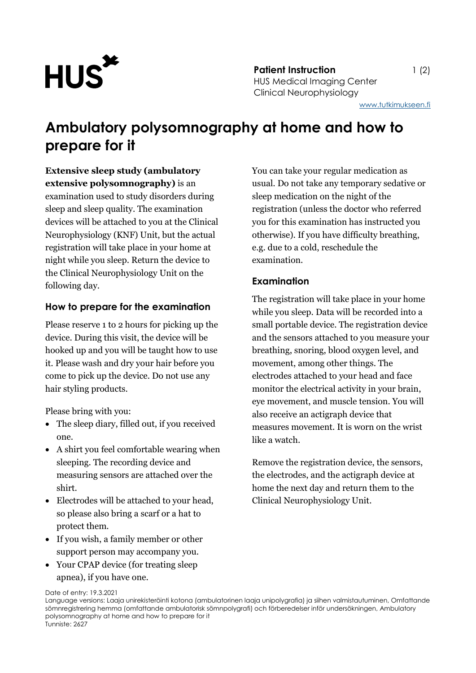

**Patient Instruction** 1 (2) HUS Medical Imaging Center Clinical Neurophysiology

[www.tutkimukseen.fi](http://www.tutkimukseen.fi/)

## **Ambulatory polysomnography at home and how to prepare for it**

**Extensive sleep study (ambulatory extensive polysomnography)** is an examination used to study disorders during sleep and sleep quality. The examination devices will be attached to you at the Clinical Neurophysiology (KNF) Unit, but the actual registration will take place in your home at night while you sleep. Return the device to the Clinical Neurophysiology Unit on the following day.

#### **How to prepare for the examination**

Please reserve 1 to 2 hours for picking up the device. During this visit, the device will be hooked up and you will be taught how to use it. Please wash and dry your hair before you come to pick up the device. Do not use any hair styling products.

Please bring with you:

- The sleep diary, filled out, if you received one.
- A shirt you feel comfortable wearing when sleeping. The recording device and measuring sensors are attached over the shirt.
- Electrodes will be attached to your head, so please also bring a scarf or a hat to protect them.
- If you wish, a family member or other support person may accompany you.
- Your CPAP device (for treating sleep apnea), if you have one.

You can take your regular medication as usual. Do not take any temporary sedative or sleep medication on the night of the registration (unless the doctor who referred you for this examination has instructed you otherwise). If you have difficulty breathing, e.g. due to a cold, reschedule the examination.

### **Examination**

The registration will take place in your home while you sleep. Data will be recorded into a small portable device. The registration device and the sensors attached to you measure your breathing, snoring, blood oxygen level, and movement, among other things. The electrodes attached to your head and face monitor the electrical activity in your brain, eye movement, and muscle tension. You will also receive an actigraph device that measures movement. It is worn on the wrist like a watch.

Remove the registration device, the sensors, the electrodes, and the actigraph device at home the next day and return them to the Clinical Neurophysiology Unit.

Date of entry: 19.3.2021

Language versions: Laaja unirekisteröinti kotona (ambulatorinen laaja unipolygrafia) ja siihen valmistautuminen, Omfattande sömnregistrering hemma (omfattande ambulatorisk sömnpolygrafi) och förberedelser inför undersökningen, Ambulatory polysomnography at home and how to prepare for it Tunniste: 2627